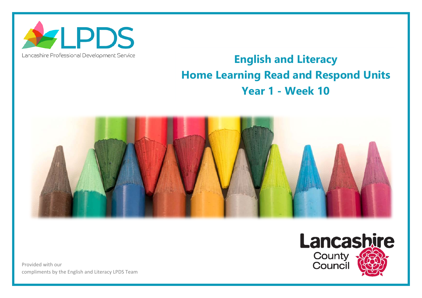

## Lancashire Professional Development Service

## **English and Literacy Home Learning Read and Respond Units Year 1 - Week 10**



Provided with our compliments by the English and Literacy LPDS Team

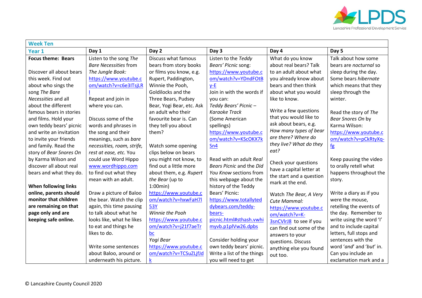

| <b>Week Ten</b>           |                              |                           |                            |                          |                          |  |  |  |
|---------------------------|------------------------------|---------------------------|----------------------------|--------------------------|--------------------------|--|--|--|
| Year 1                    | Day 1                        | Day 2                     | Day 3                      | Day 4                    | Day 5                    |  |  |  |
| <b>Focus theme: Bears</b> | Listen to the song The       | Discuss what famous       | Listen to the Teddy        | What do you know         | Talk about how some      |  |  |  |
|                           | <b>Bare Necessities from</b> | bears from story books    | Bears' Picnic song:        | about real bears? Talk   | bears are nocturnal so   |  |  |  |
| Discover all about bears  | The Jungle Book:             | or films you know, e.g.   | https://www.youtube.c      | to an adult about what   | sleep during the day.    |  |  |  |
| this week. Find out       | https://www.youtube.c        | Rupert, Paddington,       | om/watch?v=YDndFOtB        | you already know about   | Some bears hibernate     |  |  |  |
| about who sings the       | om/watch?v=c6e3ITsjLR        | Winnie the Pooh,          | $V-E$                      | bears and then think     | which means that they    |  |  |  |
| song The Bare             |                              | Goldilocks and the        | Join in with the words if  | about what you would     | sleep through the        |  |  |  |
| Necessities and all       | Repeat and join in           | Three Bears, Pudsey       | you can:                   | like to know.            | winter.                  |  |  |  |
| about the different       | where you can.               | Bear, Yogi Bear, etc. Ask | Teddy Bears' Picnic -      |                          |                          |  |  |  |
| famous bears in stories   |                              | an adult who their        | Karaoke Track              | Write a few questions    | Read the story of The    |  |  |  |
| and films. Hold your      | Discuss some of the          | favourite bear is. Can    | (Some American             | that you would like to   | Bear Snores On by        |  |  |  |
| own teddy bears' picnic   | words and phrases in         | they tell you about       | spellings)                 | ask about bears, e.g.    | Karma Wilson:            |  |  |  |
| and write an invitation   | the song and their           | them?                     | https://www.youtube.c      | How many types of bear   | https://www.youtube.c    |  |  |  |
| to invite your friends    | meanings, such as bare       |                           | om/watch?v=KScOKX7k        | are there? Where do      | om/watch?v=pCkRtyXq-     |  |  |  |
| and family. Read the      | necessities, roam, strife,   | Watch some opening        | Sn <sub>4</sub>            | they live? What do they  | fg                       |  |  |  |
| story of Bear Snores On   | rest at ease, etc. You       | clips below on bears      |                            | eat?                     |                          |  |  |  |
| by Karma Wilson and       | could use Word Hippo         | you might not know, to    | Read with an adult Real    | Check your questions     | Keep pausing the video   |  |  |  |
| discover all about real   | www.wordhippo.com            | find out a little more    | Bears Picnic and the Did   | have a capital letter at | to orally retell what    |  |  |  |
| bears and what they do.   | to find out what they        | about them, e.g. Rupert   | You Know sections from     | the start and a question | happens throughout the   |  |  |  |
|                           | mean with an adult.          | the Bear (up to           | this webpage about the     | mark at the end.         | story.                   |  |  |  |
| When following links      |                              | 1:00min)                  | history of the Teddy       |                          |                          |  |  |  |
| online, parents should    | Draw a picture of Baloo      | https://www.youtube.c     | Bears' Picnic:             | Watch The Bear, A Very   | Write a diary as if you  |  |  |  |
| monitor that children     | the bear. Watch the clip     | om/watch?v=hxwFaH7l       | https://www.totallyted     | Cute Mammal:             | were the mouse,          |  |  |  |
| are remaining on that     | again, this time pausing     | <b>53Y</b>                | dybears.com/teddy-         | https://www.youtube.c    | retelling the events of  |  |  |  |
| page only and are         | to talk about what he        | Winnie the Pooh           | bears-                     | om/watch?v=K-            | the day. Remember to     |  |  |  |
| keeping safe online.      | looks like, what he likes    | https://www.youtube.c     | picnic.html#sthash.vwhi    | 3snCVlrJ8 to see if you  | write using the word 'I' |  |  |  |
|                           | to eat and things he         | om/watch?v=j21f7aeTr      | myvb.p1plVw26.dpbs         | can find out some of the | and to include capital   |  |  |  |
|                           | likes to do.                 | bc                        |                            | answers to your          | letters, full stops and  |  |  |  |
|                           |                              | Yogi Bear                 | Consider holding your      | questions. Discuss       | sentences with the       |  |  |  |
|                           | Write some sentences         | https://www.youtube.c     | own teddy bears' picnic.   | anything else you found  | word 'and' and 'but' in. |  |  |  |
|                           | about Baloo, around or       | om/watch?v=TCSuZLjfJd     | Write a list of the things | out too.                 | Can you include an       |  |  |  |
|                           | underneath his picture.      | k                         | you will need to get       |                          | exclamation mark and a   |  |  |  |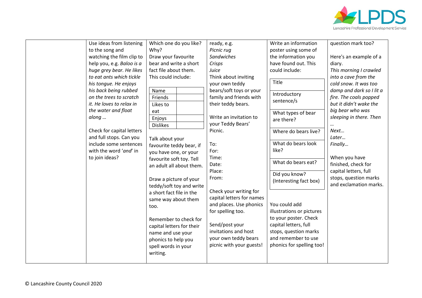

| Use ideas from listening<br>to the song and<br>watching the film clip to<br>help you, e.g. Baloo is a<br>huge grey bear. He likes<br>to eat ants which tickle<br>his tongue. He enjoys<br>his back being rubbed<br>on the trees to scratch<br>it. He loves to relax in<br>the water and float<br>along<br>Check for capital letters<br>and full stops. Can you<br>include some sentences<br>with the word 'and' in<br>to join ideas? | Which one do you like?<br>Why?<br>Draw your favourite<br>bear and write a short<br>fact file about them.<br>This could include:<br>Name<br>Friends<br>Likes to<br>eat<br>Enjoys<br><b>Dislikes</b><br>Talk about your<br>favourite teddy bear, if<br>you have one, or your<br>favourite soft toy. Tell<br>an adult all about them.<br>Draw a picture of your<br>teddy/soft toy and write<br>a short fact file in the | ready, e.g.<br>Picnic rug<br><b>Sandwiches</b><br>Crisps<br>Juice<br>Think about inviting<br>your own teddy<br>bears/soft toys or your<br>family and friends with<br>their teddy bears.<br>Write an invitation to<br>your Teddy Bears'<br>Picnic.<br>To:<br>For:<br>Time:<br>Date:<br>Place:<br>From:<br>Check your writing for | Write an information<br>poster using some of<br>the information you<br>have found out. This<br>could include:<br>Title<br>Introductory<br>sentence/s<br>What types of bear<br>are there?<br>Where do bears live?<br>What do bears look<br>like?<br>What do bears eat?<br>Did you know?<br>(Interesting fact box) | question mark too?<br>Here's an example of a<br>diary.<br>This morning I crawled<br>into a cave from the<br>cold snow. It was too<br>damp and dark so I lit a<br>fire. The coals popped<br>but it didn't wake the<br>big bear who was<br>sleeping in there. Then<br>Next<br>Later<br>Finally<br>When you have<br>finished, check for<br>capital letters, full<br>stops, question marks<br>and exclamation marks. |
|--------------------------------------------------------------------------------------------------------------------------------------------------------------------------------------------------------------------------------------------------------------------------------------------------------------------------------------------------------------------------------------------------------------------------------------|----------------------------------------------------------------------------------------------------------------------------------------------------------------------------------------------------------------------------------------------------------------------------------------------------------------------------------------------------------------------------------------------------------------------|---------------------------------------------------------------------------------------------------------------------------------------------------------------------------------------------------------------------------------------------------------------------------------------------------------------------------------|------------------------------------------------------------------------------------------------------------------------------------------------------------------------------------------------------------------------------------------------------------------------------------------------------------------|------------------------------------------------------------------------------------------------------------------------------------------------------------------------------------------------------------------------------------------------------------------------------------------------------------------------------------------------------------------------------------------------------------------|
|                                                                                                                                                                                                                                                                                                                                                                                                                                      | same way about them<br>too.<br>Remember to check for<br>capital letters for their<br>name and use your<br>phonics to help you<br>spell words in your<br>writing.                                                                                                                                                                                                                                                     | capital letters for names<br>and places. Use phonics<br>for spelling too.<br>Send/post your<br>invitations and host<br>your own teddy bears<br>picnic with your guests!                                                                                                                                                         | You could add<br>illustrations or pictures<br>to your poster. Check<br>capital letters, full<br>stops, question marks<br>and remember to use<br>phonics for spelling too!                                                                                                                                        |                                                                                                                                                                                                                                                                                                                                                                                                                  |